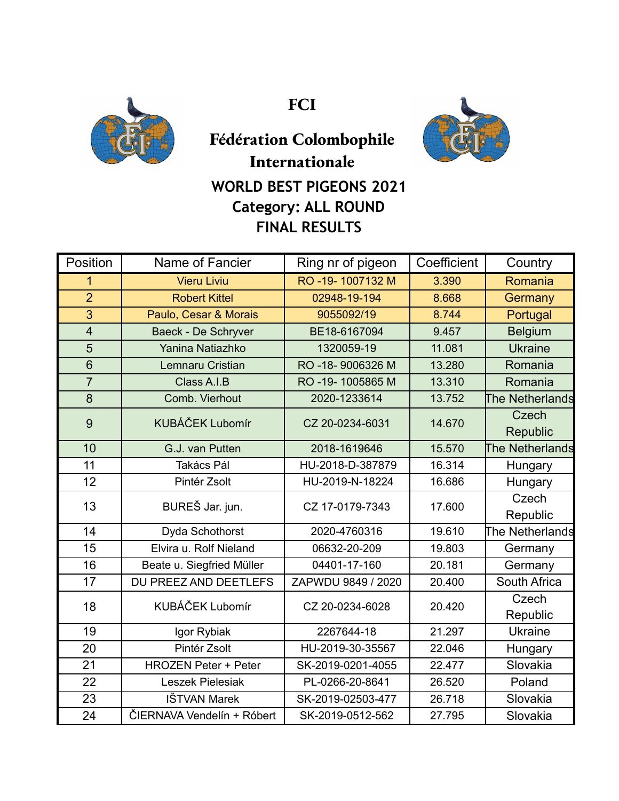

**FCI**



## **Fédération Colombophile Internationale WORLD BEST PIGEONS 2021 Category: ALL ROUND FINAL RESULTS**

| Position                | Name of Fancier             | Ring nr of pigeon  | Coefficient | Country                |
|-------------------------|-----------------------------|--------------------|-------------|------------------------|
| 1                       | <b>Vieru Liviu</b>          | RO -19-1007132 M   | 3.390       | Romania                |
| $\overline{2}$          | <b>Robert Kittel</b>        | 02948-19-194       | 8.668       | Germany                |
| 3                       | Paulo, Cesar & Morais       | 9055092/19         | 8.744       | Portugal               |
| $\overline{\mathbf{4}}$ | Baeck - De Schryver         | BE18-6167094       | 9.457       | <b>Belgium</b>         |
| 5                       | Yanina Natiazhko            | 1320059-19         | 11.081      | <b>Ukraine</b>         |
| $6\phantom{1}$          | Lemnaru Cristian            | RO -18-9006326 M   | 13.280      | Romania                |
| $\overline{7}$          | Class A.I.B                 | RO -19-1005865 M   | 13.310      | Romania                |
| 8                       | Comb. Vierhout              | 2020-1233614       | 13.752      | <b>The Netherlands</b> |
| 9                       | <b>KUBÁČEK Lubomír</b>      | CZ 20-0234-6031    | 14.670      | Czech                  |
|                         |                             |                    |             | Republic               |
| 10                      | G.J. van Putten             | 2018-1619646       | 15.570      | The Netherlands        |
| 11                      | Takács Pál                  | HU-2018-D-387879   | 16.314      | Hungary                |
| 12                      | Pintér Zsolt                | HU-2019-N-18224    | 16.686      | Hungary                |
| 13                      | BUREŠ Jar. jun.             | CZ 17-0179-7343    | 17.600      | Czech                  |
|                         |                             |                    |             | Republic               |
| 14                      | Dyda Schothorst             | 2020-4760316       | 19.610      | The Netherlands        |
| 15                      | Elvira u. Rolf Nieland      | 06632-20-209       | 19.803      | Germany                |
| 16                      | Beate u. Siegfried Müller   | 04401-17-160       | 20.181      | Germany                |
| 17                      | DU PREEZ AND DEETLEFS       | ZAPWDU 9849 / 2020 | 20.400      | South Africa           |
| 18                      | <b>KUBÁČEK Lubomír</b>      | CZ 20-0234-6028    | 20.420      | Czech                  |
|                         |                             |                    |             | Republic               |
| 19                      | Igor Rybiak                 | 2267644-18         | 21.297      | <b>Ukraine</b>         |
| 20                      | Pintér Zsolt                | HU-2019-30-35567   | 22.046      | Hungary                |
| 21                      | <b>HROZEN Peter + Peter</b> | SK-2019-0201-4055  | 22.477      | Slovakia               |
| 22                      | Leszek Pielesiak            | PL-0266-20-8641    | 26.520      | Poland                 |
| 23                      | <b>IŠTVAN Marek</b>         | SK-2019-02503-477  | 26.718      | Slovakia               |
| 24                      | ČIERNAVA Vendelín + Róbert  | SK-2019-0512-562   | 27.795      | Slovakia               |